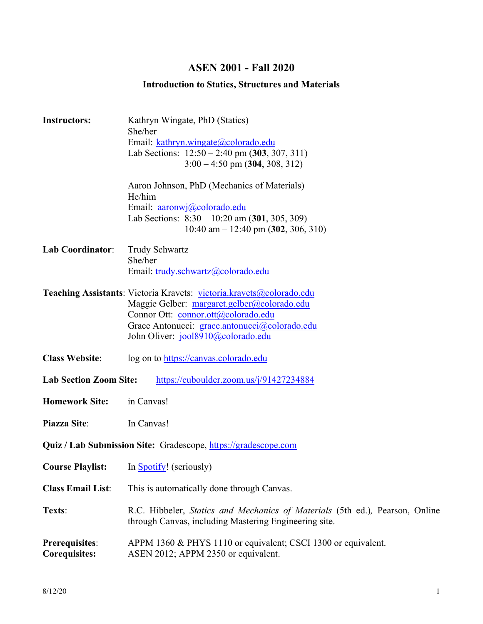# **ASEN 2001 - Fall 2020**

# **Introduction to Statics, Structures and Materials**

| <b>Instructors:</b>                                                      | Kathryn Wingate, PhD (Statics)<br>She/her<br>Email: kathryn.wingate@colorado.edu<br>Lab Sections: $12:50 - 2:40$ pm $(303, 307, 311)$<br>$3:00 - 4:50$ pm $(304, 308, 312)$                                                                       |  |  |
|--------------------------------------------------------------------------|---------------------------------------------------------------------------------------------------------------------------------------------------------------------------------------------------------------------------------------------------|--|--|
|                                                                          | Aaron Johnson, PhD (Mechanics of Materials)<br>He/him<br>Email: <u>aaronwj</u> @colorado.edu<br>Lab Sections: $8:30 - 10:20$ am $(301, 305, 309)$<br>10:40 am $-$ 12:40 pm (302, 306, 310)                                                        |  |  |
| <b>Lab Coordinator:</b>                                                  | <b>Trudy Schwartz</b><br>She/her<br>Email: trudy.schwartz@colorado.edu                                                                                                                                                                            |  |  |
|                                                                          | Teaching Assistants: Victoria Kravets: victoria.kravets@colorado.edu<br>Maggie Gelber: margaret.gelber@colorado.edu<br>Connor Ott: connor.ott@colorado.edu<br>Grace Antonucci: grace.antonucci@colorado.edu<br>John Oliver: jool8910@colorado.edu |  |  |
| <b>Class Website:</b>                                                    | log on to https://canvas.colorado.edu                                                                                                                                                                                                             |  |  |
| <b>Lab Section Zoom Site:</b><br>https://cuboulder.zoom.us/j/91427234884 |                                                                                                                                                                                                                                                   |  |  |
| <b>Homework Site:</b>                                                    | in Canvas!                                                                                                                                                                                                                                        |  |  |
| Piazza Site:                                                             | In Canvas!                                                                                                                                                                                                                                        |  |  |
| <b>Quiz / Lab Submission Site:</b> Gradescope, https://gradescope.com    |                                                                                                                                                                                                                                                   |  |  |
|                                                                          | <b>Course Playlist:</b> In <b>Spotify!</b> (seriously)                                                                                                                                                                                            |  |  |
| <b>Class Email List:</b>                                                 | This is automatically done through Canvas.                                                                                                                                                                                                        |  |  |
| Texts:                                                                   | R.C. Hibbeler, Statics and Mechanics of Materials (5th ed.), Pearson, Online<br>through Canvas, including Mastering Engineering site.                                                                                                             |  |  |
| Prerequisites:<br><b>Corequisites:</b>                                   | APPM 1360 & PHYS 1110 or equivalent; CSCI 1300 or equivalent.<br>ASEN 2012; APPM 2350 or equivalent.                                                                                                                                              |  |  |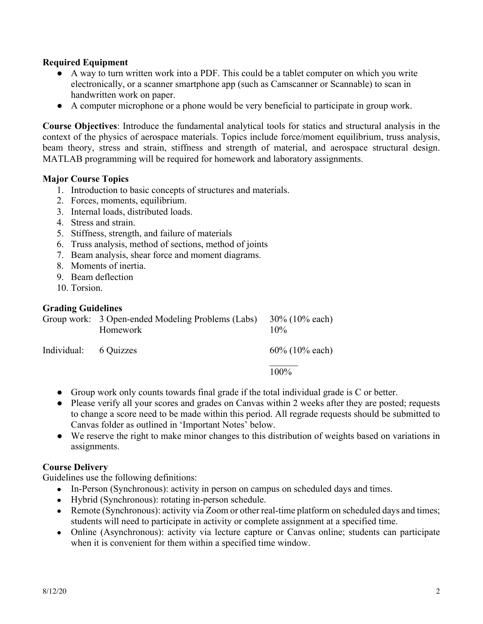# **Required Equipment**

- A way to turn written work into a PDF. This could be a tablet computer on which you write electronically, or a scanner smartphone app (such as Camscanner or Scannable) to scan in handwritten work on paper.
- A computer microphone or a phone would be very beneficial to participate in group work.

**Course Objectives**: Introduce the fundamental analytical tools for statics and structural analysis in the context of the physics of aerospace materials. Topics include force/moment equilibrium, truss analysis, beam theory, stress and strain, stiffness and strength of material, and aerospace structural design. MATLAB programming will be required for homework and laboratory assignments.

### **Major Course Topics**

- 1. Introduction to basic concepts of structures and materials.
- 2. Forces, moments, equilibrium.
- 3. Internal loads, distributed loads.
- 4. Stress and strain.
- 5. Stiffness, strength, and failure of materials
- 6. Truss analysis, method of sections, method of joints
- 7. Beam analysis, shear force and moment diagrams.
- 8. Moments of inertia.
- 9. Beam deflection
- 10. Torsion.

### **Grading Guidelines**

|                       | Group work: 3 Open-ended Modeling Problems (Labs)<br>Homework | $30\%$ (10% each)<br>$10\%$ |
|-----------------------|---------------------------------------------------------------|-----------------------------|
| Individual: 6 Quizzes |                                                               | $60\%$ (10% each)           |
|                       |                                                               | 100%                        |

- Group work only counts towards final grade if the total individual grade is C or better.
- Please verify all your scores and grades on Canvas within 2 weeks after they are posted; requests to change a score need to be made within this period. All regrade requests should be submitted to Canvas folder as outlined in 'Important Notes' below.
- We reserve the right to make minor changes to this distribution of weights based on variations in assignments.

### **Course Delivery**

Guidelines use the following definitions:

- In-Person (Synchronous): activity in person on campus on scheduled days and times.
- Hybrid (Synchronous): rotating in-person schedule.
- Remote (Synchronous): activity via Zoom or other real-time platform on scheduled days and times; students will need to participate in activity or complete assignment at a specified time.
- Online (Asynchronous): activity via lecture capture or Canvas online; students can participate when it is convenient for them within a specified time window.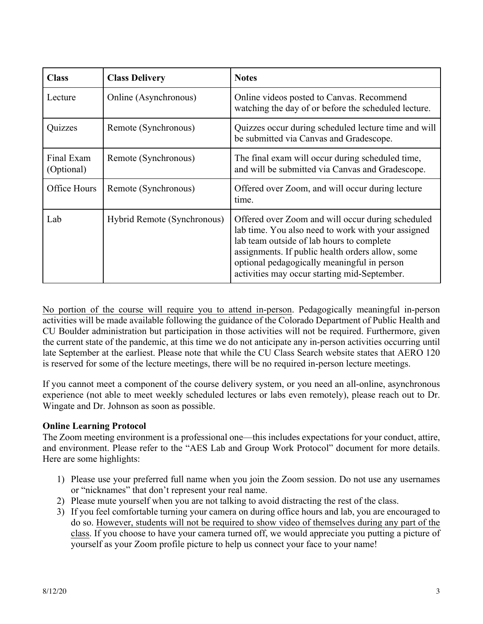| <b>Class</b>             | <b>Class Delivery</b>       | <b>Notes</b>                                                                                                                                                                                                                                                                                            |
|--------------------------|-----------------------------|---------------------------------------------------------------------------------------------------------------------------------------------------------------------------------------------------------------------------------------------------------------------------------------------------------|
| Lecture                  | Online (Asynchronous)       | Online videos posted to Canvas. Recommend<br>watching the day of or before the scheduled lecture.                                                                                                                                                                                                       |
| Quizzes                  | Remote (Synchronous)        | Quizzes occur during scheduled lecture time and will<br>be submitted via Canvas and Gradescope.                                                                                                                                                                                                         |
| Final Exam<br>(Optional) | Remote (Synchronous)        | The final exam will occur during scheduled time,<br>and will be submitted via Canvas and Gradescope.                                                                                                                                                                                                    |
| Office Hours             | Remote (Synchronous)        | Offered over Zoom, and will occur during lecture<br>time.                                                                                                                                                                                                                                               |
| Lab                      | Hybrid Remote (Synchronous) | Offered over Zoom and will occur during scheduled<br>lab time. You also need to work with your assigned<br>lab team outside of lab hours to complete<br>assignments. If public health orders allow, some<br>optional pedagogically meaningful in person<br>activities may occur starting mid-September. |

No portion of the course will require you to attend in-person. Pedagogically meaningful in-person activities will be made available following the guidance of the Colorado Department of Public Health and CU Boulder administration but participation in those activities will not be required. Furthermore, given the current state of the pandemic, at this time we do not anticipate any in-person activities occurring until late September at the earliest. Please note that while the CU Class Search website states that AERO 120 is reserved for some of the lecture meetings, there will be no required in-person lecture meetings.

If you cannot meet a component of the course delivery system, or you need an all-online, asynchronous experience (not able to meet weekly scheduled lectures or labs even remotely), please reach out to Dr. Wingate and Dr. Johnson as soon as possible.

# **Online Learning Protocol**

The Zoom meeting environment is a professional one—this includes expectations for your conduct, attire, and environment. Please refer to the "AES Lab and Group Work Protocol" document for more details. Here are some highlights:

- 1) Please use your preferred full name when you join the Zoom session. Do not use any usernames or "nicknames" that don't represent your real name.
- 2) Please mute yourself when you are not talking to avoid distracting the rest of the class.
- 3) If you feel comfortable turning your camera on during office hours and lab, you are encouraged to do so. However, students will not be required to show video of themselves during any part of the class. If you choose to have your camera turned off, we would appreciate you putting a picture of yourself as your Zoom profile picture to help us connect your face to your name!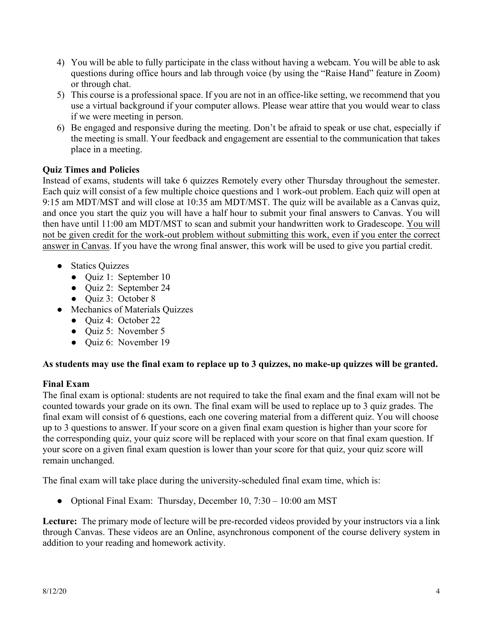- 4) You will be able to fully participate in the class without having a webcam. You will be able to ask questions during office hours and lab through voice (by using the "Raise Hand" feature in Zoom) or through chat.
- 5) This course is a professional space. If you are not in an office-like setting, we recommend that you use a virtual background if your computer allows. Please wear attire that you would wear to class if we were meeting in person.
- 6) Be engaged and responsive during the meeting. Don't be afraid to speak or use chat, especially if the meeting is small. Your feedback and engagement are essential to the communication that takes place in a meeting.

# **Quiz Times and Policies**

Instead of exams, students will take 6 quizzes Remotely every other Thursday throughout the semester. Each quiz will consist of a few multiple choice questions and 1 work-out problem. Each quiz will open at 9:15 am MDT/MST and will close at 10:35 am MDT/MST. The quiz will be available as a Canvas quiz, and once you start the quiz you will have a half hour to submit your final answers to Canvas. You will then have until 11:00 am MDT/MST to scan and submit your handwritten work to Gradescope. You will not be given credit for the work-out problem without submitting this work, even if you enter the correct answer in Canvas. If you have the wrong final answer, this work will be used to give you partial credit.

- Statics Quizzes
	- Quiz 1: September 10
	- Quiz 2: September 24
	- Quiz 3: October 8
- Mechanics of Materials Quizzes
	- Quiz 4: October 22
	- Ouiz 5: November 5
	- Ouiz 6: November 19

# **As students may use the final exam to replace up to 3 quizzes, no make-up quizzes will be granted.**

# **Final Exam**

The final exam is optional: students are not required to take the final exam and the final exam will not be counted towards your grade on its own. The final exam will be used to replace up to 3 quiz grades. The final exam will consist of 6 questions, each one covering material from a different quiz. You will choose up to 3 questions to answer. If your score on a given final exam question is higher than your score for the corresponding quiz, your quiz score will be replaced with your score on that final exam question. If your score on a given final exam question is lower than your score for that quiz, your quiz score will remain unchanged.

The final exam will take place during the university-scheduled final exam time, which is:

• Optional Final Exam: Thursday, December 10, 7:30 – 10:00 am MST

**Lecture:** The primary mode of lecture will be pre-recorded videos provided by your instructors via a link through Canvas. These videos are an Online, asynchronous component of the course delivery system in addition to your reading and homework activity.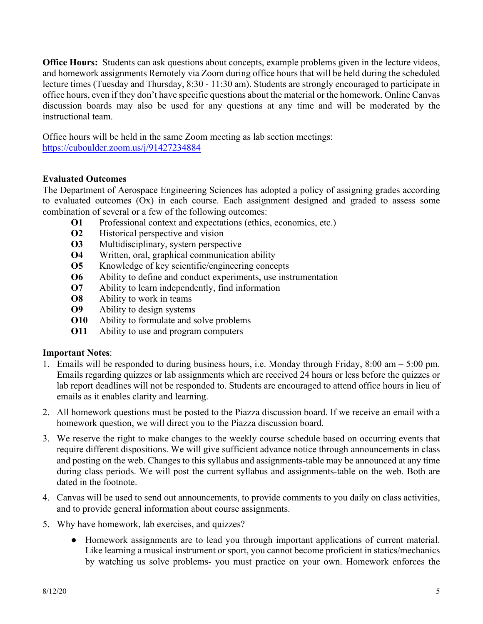**Office Hours:** Students can ask questions about concepts, example problems given in the lecture videos, and homework assignments Remotely via Zoom during office hours that will be held during the scheduled lecture times (Tuesday and Thursday, 8:30 - 11:30 am). Students are strongly encouraged to participate in office hours, even if they don't have specific questions about the material or the homework. Online Canvas discussion boards may also be used for any questions at any time and will be moderated by the instructional team.

Office hours will be held in the same Zoom meeting as lab section meetings: https://cuboulder.zoom.us/j/91427234884

# **Evaluated Outcomes**

The Department of Aerospace Engineering Sciences has adopted a policy of assigning grades according to evaluated outcomes (Ox) in each course. Each assignment designed and graded to assess some combination of several or a few of the following outcomes:

- **O1** Professional context and expectations (ethics, economics, etc.)
- **O2** Historical perspective and vision
- **O3** Multidisciplinary, system perspective
- **O4** Written, oral, graphical communication ability
- **O5** Knowledge of key scientific/engineering concepts
- **O6** Ability to define and conduct experiments, use instrumentation
- **O7** Ability to learn independently, find information
- **O8** Ability to work in teams
- **O9** Ability to design systems
- **O10** Ability to formulate and solve problems
- **O11** Ability to use and program computers

# **Important Notes**:

- 1. Emails will be responded to during business hours, i.e. Monday through Friday, 8:00 am 5:00 pm. Emails regarding quizzes or lab assignments which are received 24 hours or less before the quizzes or lab report deadlines will not be responded to. Students are encouraged to attend office hours in lieu of emails as it enables clarity and learning.
- 2. All homework questions must be posted to the Piazza discussion board. If we receive an email with a homework question, we will direct you to the Piazza discussion board.
- 3. We reserve the right to make changes to the weekly course schedule based on occurring events that require different dispositions. We will give sufficient advance notice through announcements in class and posting on the web. Changes to this syllabus and assignments-table may be announced at any time during class periods. We will post the current syllabus and assignments-table on the web. Both are dated in the footnote.
- 4. Canvas will be used to send out announcements, to provide comments to you daily on class activities, and to provide general information about course assignments.
- 5. Why have homework, lab exercises, and quizzes?
	- Homework assignments are to lead you through important applications of current material. Like learning a musical instrument or sport, you cannot become proficient in statics/mechanics by watching us solve problems- you must practice on your own. Homework enforces the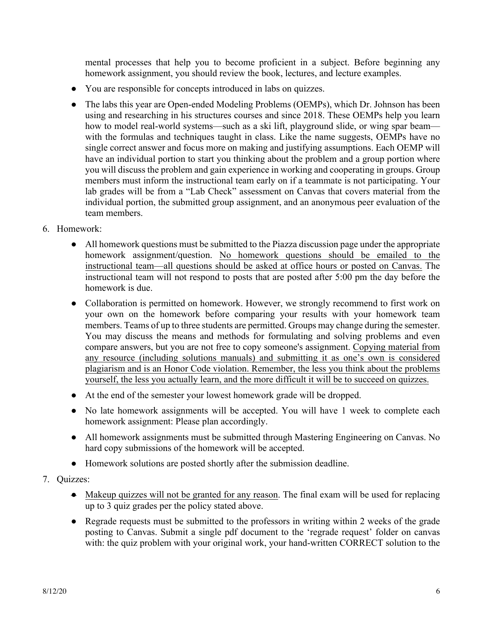mental processes that help you to become proficient in a subject. Before beginning any homework assignment, you should review the book, lectures, and lecture examples.

- You are responsible for concepts introduced in labs on quizzes.
- The labs this year are Open-ended Modeling Problems (OEMPs), which Dr. Johnson has been using and researching in his structures courses and since 2018. These OEMPs help you learn how to model real-world systems—such as a ski lift, playground slide, or wing spar beam with the formulas and techniques taught in class. Like the name suggests, OEMPs have no single correct answer and focus more on making and justifying assumptions. Each OEMP will have an individual portion to start you thinking about the problem and a group portion where you will discuss the problem and gain experience in working and cooperating in groups. Group members must inform the instructional team early on if a teammate is not participating. Your lab grades will be from a "Lab Check" assessment on Canvas that covers material from the individual portion, the submitted group assignment, and an anonymous peer evaluation of the team members.
- 6. Homework:
	- All homework questions must be submitted to the Piazza discussion page under the appropriate homework assignment/question. No homework questions should be emailed to the instructional team—all questions should be asked at office hours or posted on Canvas. The instructional team will not respond to posts that are posted after 5:00 pm the day before the homework is due.
	- Collaboration is permitted on homework. However, we strongly recommend to first work on your own on the homework before comparing your results with your homework team members. Teams of up to three students are permitted. Groups may change during the semester. You may discuss the means and methods for formulating and solving problems and even compare answers, but you are not free to copy someone's assignment. Copying material from any resource (including solutions manuals) and submitting it as one's own is considered plagiarism and is an Honor Code violation. Remember, the less you think about the problems yourself, the less you actually learn, and the more difficult it will be to succeed on quizzes.
	- At the end of the semester your lowest homework grade will be dropped.
	- No late homework assignments will be accepted. You will have 1 week to complete each homework assignment: Please plan accordingly.
	- All homework assignments must be submitted through Mastering Engineering on Canvas. No hard copy submissions of the homework will be accepted.
	- Homework solutions are posted shortly after the submission deadline.
- 7. Quizzes:
	- Makeup quizzes will not be granted for any reason. The final exam will be used for replacing up to 3 quiz grades per the policy stated above.
	- Regrade requests must be submitted to the professors in writing within 2 weeks of the grade posting to Canvas. Submit a single pdf document to the 'regrade request' folder on canvas with: the quiz problem with your original work, your hand-written CORRECT solution to the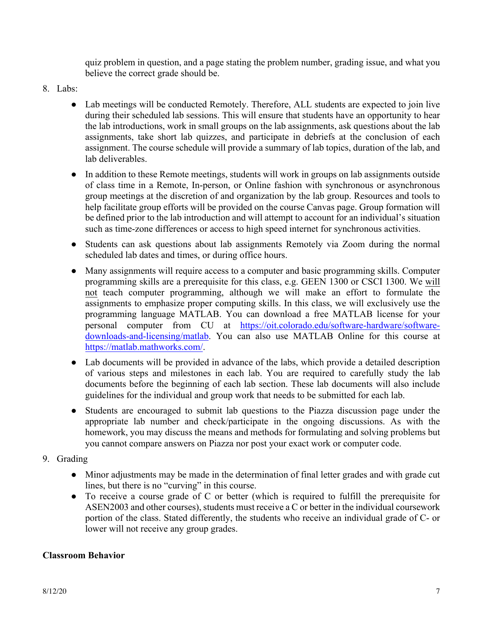quiz problem in question, and a page stating the problem number, grading issue, and what you believe the correct grade should be.

- 8. Labs:
	- Lab meetings will be conducted Remotely. Therefore, ALL students are expected to join live during their scheduled lab sessions. This will ensure that students have an opportunity to hear the lab introductions, work in small groups on the lab assignments, ask questions about the lab assignments, take short lab quizzes, and participate in debriefs at the conclusion of each assignment. The course schedule will provide a summary of lab topics, duration of the lab, and lab deliverables.
	- In addition to these Remote meetings, students will work in groups on lab assignments outside of class time in a Remote, In-person, or Online fashion with synchronous or asynchronous group meetings at the discretion of and organization by the lab group. Resources and tools to help facilitate group efforts will be provided on the course Canvas page. Group formation will be defined prior to the lab introduction and will attempt to account for an individual's situation such as time-zone differences or access to high speed internet for synchronous activities.
	- Students can ask questions about lab assignments Remotely via Zoom during the normal scheduled lab dates and times, or during office hours.
	- Many assignments will require access to a computer and basic programming skills. Computer programming skills are a prerequisite for this class, e.g. GEEN 1300 or CSCI 1300. We will not teach computer programming, although we will make an effort to formulate the assignments to emphasize proper computing skills. In this class, we will exclusively use the programming language MATLAB. You can download a free MATLAB license for your personal computer from CU at https://oit.colorado.edu/software-hardware/softwaredownloads-and-licensing/matlab. You can also use MATLAB Online for this course at https://matlab.mathworks.com/.
	- Lab documents will be provided in advance of the labs, which provide a detailed description of various steps and milestones in each lab. You are required to carefully study the lab documents before the beginning of each lab section. These lab documents will also include guidelines for the individual and group work that needs to be submitted for each lab.
	- Students are encouraged to submit lab questions to the Piazza discussion page under the appropriate lab number and check/participate in the ongoing discussions. As with the homework, you may discuss the means and methods for formulating and solving problems but you cannot compare answers on Piazza nor post your exact work or computer code.
- 9. Grading
	- Minor adjustments may be made in the determination of final letter grades and with grade cut lines, but there is no "curving" in this course.
	- To receive a course grade of C or better (which is required to fulfill the prerequisite for ASEN2003 and other courses), students must receive a C or better in the individual coursework portion of the class. Stated differently, the students who receive an individual grade of C- or lower will not receive any group grades.

# **Classroom Behavior**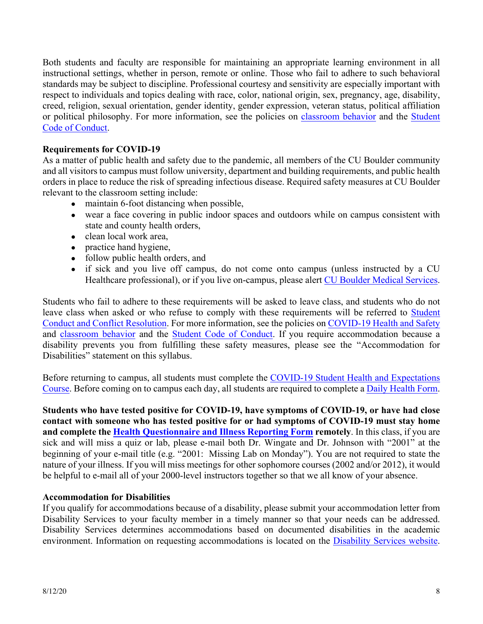Both students and faculty are responsible for maintaining an appropriate learning environment in all instructional settings, whether in person, remote or online. Those who fail to adhere to such behavioral standards may be subject to discipline. Professional courtesy and sensitivity are especially important with respect to individuals and topics dealing with race, color, national origin, sex, pregnancy, age, disability, creed, religion, sexual orientation, gender identity, gender expression, veteran status, political affiliation or political philosophy. For more information, see the policies on classroom behavior and the Student Code of Conduct.

# **Requirements for COVID-19**

As a matter of public health and safety due to the pandemic, all members of the CU Boulder community and all visitors to campus must follow university, department and building requirements, and public health orders in place to reduce the risk of spreading infectious disease. Required safety measures at CU Boulder relevant to the classroom setting include:

- maintain 6-foot distancing when possible,
- wear a face covering in public indoor spaces and outdoors while on campus consistent with state and county health orders,
- clean local work area,
- practice hand hygiene,
- follow public health orders, and
- if sick and you live off campus, do not come onto campus (unless instructed by a CU Healthcare professional), or if you live on-campus, please alert CU Boulder Medical Services.

Students who fail to adhere to these requirements will be asked to leave class, and students who do not leave class when asked or who refuse to comply with these requirements will be referred to Student Conduct and Conflict Resolution. For more information, see the policies on COVID-19 Health and Safety and classroom behavior and the Student Code of Conduct. If you require accommodation because a disability prevents you from fulfilling these safety measures, please see the "Accommodation for Disabilities" statement on this syllabus.

Before returning to campus, all students must complete the COVID-19 Student Health and Expectations Course. Before coming on to campus each day, all students are required to complete a Daily Health Form.

**Students who have tested positive for COVID-19, have symptoms of COVID-19, or have had close contact with someone who has tested positive for or had symptoms of COVID-19 must stay home and complete the Health Questionnaire and Illness Reporting Form remotely**. In this class, if you are sick and will miss a quiz or lab, please e-mail both Dr. Wingate and Dr. Johnson with "2001" at the beginning of your e-mail title (e.g. "2001: Missing Lab on Monday"). You are not required to state the nature of your illness. If you will miss meetings for other sophomore courses (2002 and/or 2012), it would be helpful to e-mail all of your 2000-level instructors together so that we all know of your absence.

### **Accommodation for Disabilities**

If you qualify for accommodations because of a disability, please submit your accommodation letter from Disability Services to your faculty member in a timely manner so that your needs can be addressed. Disability Services determines accommodations based on documented disabilities in the academic environment. Information on requesting accommodations is located on the Disability Services website.